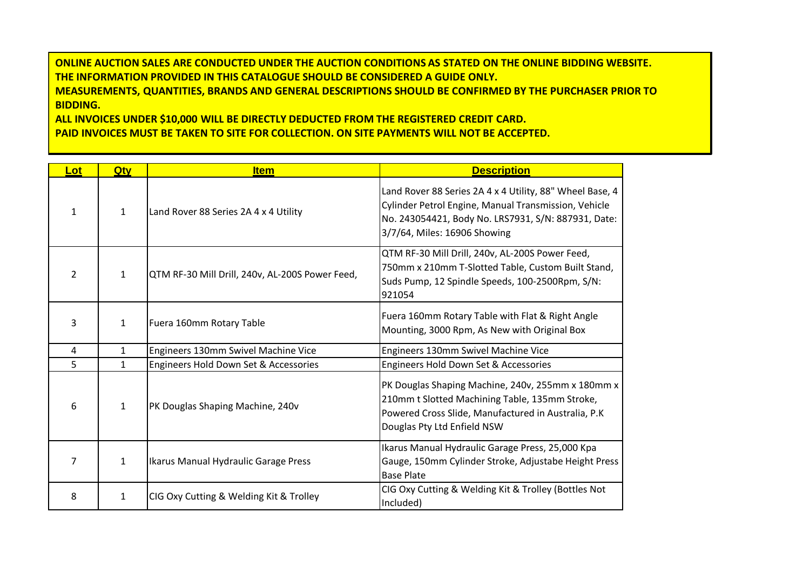**ONLINE AUCTION SALES ARE CONDUCTED UNDER THE AUCTION CONDITIONS AS STATED ON THE ONLINE BIDDING WEBSITE. THE INFORMATION PROVIDED IN THIS CATALOGUE SHOULD BE CONSIDERED A GUIDE ONLY. MEASUREMENTS, QUANTITIES, BRANDS AND GENERAL DESCRIPTIONS SHOULD BE CONFIRMED BY THE PURCHASER PRIOR TO BIDDING.**

**ALL INVOICES UNDER \$10,000 WILL BE DIRECTLY DEDUCTED FROM THE REGISTERED CREDIT CARD. PAID INVOICES MUST BE TAKEN TO SITE FOR COLLECTION. ON SITE PAYMENTS WILL NOT BE ACCEPTED.**

| Lot            | <b>Qty</b>   | <b>Item</b>                                     | <b>Description</b>                                                                                                                                                                                      |
|----------------|--------------|-------------------------------------------------|---------------------------------------------------------------------------------------------------------------------------------------------------------------------------------------------------------|
| $\mathbf{1}$   | $\mathbf{1}$ | Land Rover 88 Series 2A 4 x 4 Utility           | Land Rover 88 Series 2A 4 x 4 Utility, 88" Wheel Base, 4<br>Cylinder Petrol Engine, Manual Transmission, Vehicle<br>No. 243054421, Body No. LRS7931, S/N: 887931, Date:<br>3/7/64, Miles: 16906 Showing |
| $\overline{2}$ | $\mathbf{1}$ | QTM RF-30 Mill Drill, 240v, AL-200S Power Feed, | QTM RF-30 Mill Drill, 240v, AL-200S Power Feed,<br>750mm x 210mm T-Slotted Table, Custom Built Stand,<br>Suds Pump, 12 Spindle Speeds, 100-2500Rpm, S/N:<br>921054                                      |
| 3              | $\mathbf{1}$ | Fuera 160mm Rotary Table                        | Fuera 160mm Rotary Table with Flat & Right Angle<br>Mounting, 3000 Rpm, As New with Original Box                                                                                                        |
| 4              | $\mathbf{1}$ | Engineers 130mm Swivel Machine Vice             | Engineers 130mm Swivel Machine Vice                                                                                                                                                                     |
| 5              | $\mathbf{1}$ | Engineers Hold Down Set & Accessories           | Engineers Hold Down Set & Accessories                                                                                                                                                                   |
| 6              | $\mathbf{1}$ | PK Douglas Shaping Machine, 240v                | PK Douglas Shaping Machine, 240v, 255mm x 180mm x<br>210mm t Slotted Machining Table, 135mm Stroke,<br>Powered Cross Slide, Manufactured in Australia, P.K<br>Douglas Pty Ltd Enfield NSW               |
| $\overline{7}$ | $\mathbf{1}$ | Ikarus Manual Hydraulic Garage Press            | Ikarus Manual Hydraulic Garage Press, 25,000 Kpa<br>Gauge, 150mm Cylinder Stroke, Adjustabe Height Press<br><b>Base Plate</b>                                                                           |
| 8              | $\mathbf{1}$ | CIG Oxy Cutting & Welding Kit & Trolley         | CIG Oxy Cutting & Welding Kit & Trolley (Bottles Not<br>Included)                                                                                                                                       |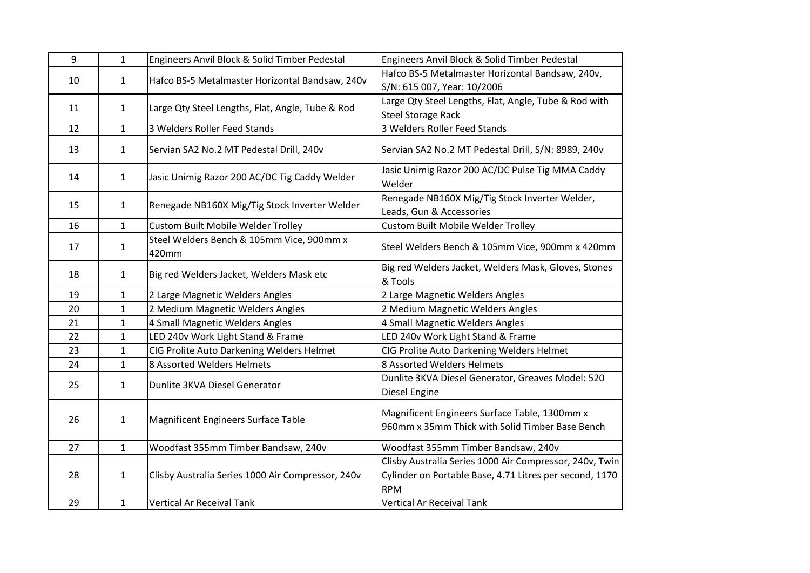| 9  | $\mathbf{1}$ | Engineers Anvil Block & Solid Timber Pedestal      | Engineers Anvil Block & Solid Timber Pedestal                                                                                    |
|----|--------------|----------------------------------------------------|----------------------------------------------------------------------------------------------------------------------------------|
| 10 | $\mathbf{1}$ | Hafco BS-5 Metalmaster Horizontal Bandsaw, 240v    | Hafco BS-5 Metalmaster Horizontal Bandsaw, 240v,<br>S/N: 615 007, Year: 10/2006                                                  |
| 11 | $\mathbf{1}$ | Large Qty Steel Lengths, Flat, Angle, Tube & Rod   | Large Qty Steel Lengths, Flat, Angle, Tube & Rod with<br><b>Steel Storage Rack</b>                                               |
| 12 | $\mathbf{1}$ | 3 Welders Roller Feed Stands                       | 3 Welders Roller Feed Stands                                                                                                     |
| 13 | $\mathbf{1}$ | Servian SA2 No.2 MT Pedestal Drill, 240v           | Servian SA2 No.2 MT Pedestal Drill, S/N: 8989, 240v                                                                              |
| 14 | $\mathbf{1}$ | Jasic Unimig Razor 200 AC/DC Tig Caddy Welder      | Jasic Unimig Razor 200 AC/DC Pulse Tig MMA Caddy<br>Welder                                                                       |
| 15 | $\mathbf{1}$ | Renegade NB160X Mig/Tig Stock Inverter Welder      | Renegade NB160X Mig/Tig Stock Inverter Welder,<br>Leads, Gun & Accessories                                                       |
| 16 | $\mathbf{1}$ | Custom Built Mobile Welder Trolley                 | <b>Custom Built Mobile Welder Trolley</b>                                                                                        |
| 17 | $\mathbf{1}$ | Steel Welders Bench & 105mm Vice, 900mm x<br>420mm | Steel Welders Bench & 105mm Vice, 900mm x 420mm                                                                                  |
| 18 | $\mathbf{1}$ | Big red Welders Jacket, Welders Mask etc           | Big red Welders Jacket, Welders Mask, Gloves, Stones<br>& Tools                                                                  |
| 19 | $\mathbf{1}$ | 2 Large Magnetic Welders Angles                    | 2 Large Magnetic Welders Angles                                                                                                  |
| 20 | $\mathbf{1}$ | 2 Medium Magnetic Welders Angles                   | 2 Medium Magnetic Welders Angles                                                                                                 |
| 21 | $\mathbf{1}$ | 4 Small Magnetic Welders Angles                    | 4 Small Magnetic Welders Angles                                                                                                  |
| 22 | $\mathbf{1}$ | LED 240v Work Light Stand & Frame                  | LED 240v Work Light Stand & Frame                                                                                                |
| 23 | $\mathbf{1}$ | CIG Prolite Auto Darkening Welders Helmet          | CIG Prolite Auto Darkening Welders Helmet                                                                                        |
| 24 | $\mathbf{1}$ | 8 Assorted Welders Helmets                         | 8 Assorted Welders Helmets                                                                                                       |
| 25 | 1            | Dunlite 3KVA Diesel Generator                      | Dunlite 3KVA Diesel Generator, Greaves Model: 520<br>Diesel Engine                                                               |
| 26 | $\mathbf 1$  | <b>Magnificent Engineers Surface Table</b>         | Magnificent Engineers Surface Table, 1300mm x<br>960mm x 35mm Thick with Solid Timber Base Bench                                 |
| 27 | $\mathbf{1}$ | Woodfast 355mm Timber Bandsaw, 240v                | Woodfast 355mm Timber Bandsaw, 240v                                                                                              |
| 28 | $\mathbf 1$  | Clisby Australia Series 1000 Air Compressor, 240v  | Clisby Australia Series 1000 Air Compressor, 240v, Twin<br>Cylinder on Portable Base, 4.71 Litres per second, 1170<br><b>RPM</b> |
| 29 | $\mathbf{1}$ | <b>Vertical Ar Receival Tank</b>                   | <b>Vertical Ar Receival Tank</b>                                                                                                 |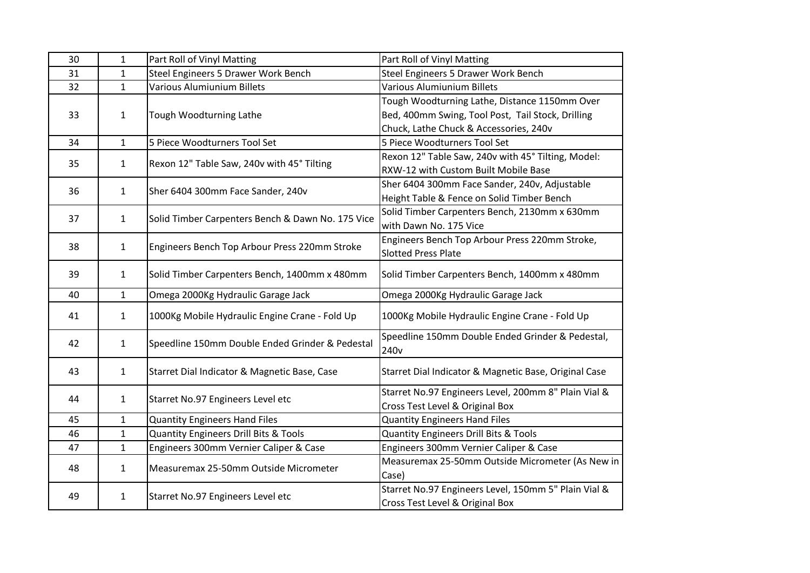| 30 | $\mathbf{1}$                 | Part Roll of Vinyl Matting                                                               | Part Roll of Vinyl Matting                                                                 |
|----|------------------------------|------------------------------------------------------------------------------------------|--------------------------------------------------------------------------------------------|
| 31 | $\mathbf{1}$                 | Steel Engineers 5 Drawer Work Bench                                                      | Steel Engineers 5 Drawer Work Bench                                                        |
| 32 | $\mathbf{1}$                 | Various Alumiunium Billets                                                               | <b>Various Alumiunium Billets</b>                                                          |
|    |                              |                                                                                          | Tough Woodturning Lathe, Distance 1150mm Over                                              |
| 33 | $\mathbf 1$                  | Tough Woodturning Lathe                                                                  | Bed, 400mm Swing, Tool Post, Tail Stock, Drilling                                          |
|    |                              |                                                                                          | Chuck, Lathe Chuck & Accessories, 240v                                                     |
| 34 | $\mathbf{1}$                 | 5 Piece Woodturners Tool Set                                                             | 5 Piece Woodturners Tool Set                                                               |
| 35 | $\mathbf{1}$                 | Rexon 12" Table Saw, 240v with 45° Tilting                                               | Rexon 12" Table Saw, 240v with 45° Tilting, Model:                                         |
|    |                              |                                                                                          | RXW-12 with Custom Built Mobile Base                                                       |
| 36 | $\mathbf{1}$                 | Sher 6404 300mm Face Sander, 240v                                                        | Sher 6404 300mm Face Sander, 240v, Adjustable                                              |
|    |                              |                                                                                          | Height Table & Fence on Solid Timber Bench                                                 |
| 37 | $\mathbf{1}$                 |                                                                                          | Solid Timber Carpenters Bench, 2130mm x 630mm                                              |
|    |                              | Solid Timber Carpenters Bench & Dawn No. 175 Vice                                        | with Dawn No. 175 Vice                                                                     |
| 38 | $\mathbf{1}$                 | Engineers Bench Top Arbour Press 220mm Stroke                                            | Engineers Bench Top Arbour Press 220mm Stroke,                                             |
|    |                              |                                                                                          | <b>Slotted Press Plate</b>                                                                 |
| 39 | $\mathbf{1}$                 | Solid Timber Carpenters Bench, 1400mm x 480mm                                            | Solid Timber Carpenters Bench, 1400mm x 480mm                                              |
|    |                              |                                                                                          |                                                                                            |
| 40 | $\mathbf{1}$                 | Omega 2000Kg Hydraulic Garage Jack                                                       | Omega 2000Kg Hydraulic Garage Jack                                                         |
| 41 | $\mathbf{1}$                 | 1000Kg Mobile Hydraulic Engine Crane - Fold Up                                           | 1000Kg Mobile Hydraulic Engine Crane - Fold Up                                             |
|    |                              |                                                                                          |                                                                                            |
| 42 | $\mathbf{1}$                 | Speedline 150mm Double Ended Grinder & Pedestal                                          | Speedline 150mm Double Ended Grinder & Pedestal,                                           |
|    |                              |                                                                                          | 240 <sub>v</sub>                                                                           |
| 43 | $\mathbf{1}$                 | Starret Dial Indicator & Magnetic Base, Case                                             | Starret Dial Indicator & Magnetic Base, Original Case                                      |
|    |                              |                                                                                          | Starret No.97 Engineers Level, 200mm 8" Plain Vial &                                       |
| 44 | $\mathbf{1}$                 | Starret No.97 Engineers Level etc                                                        | Cross Test Level & Original Box                                                            |
| 45 |                              |                                                                                          | <b>Quantity Engineers Hand Files</b>                                                       |
| 46 | $\mathbf{1}$<br>$\mathbf{1}$ | <b>Quantity Engineers Hand Files</b><br><b>Quantity Engineers Drill Bits &amp; Tools</b> | <b>Quantity Engineers Drill Bits &amp; Tools</b>                                           |
|    | $\mathbf{1}$                 |                                                                                          |                                                                                            |
| 47 |                              | Engineers 300mm Vernier Caliper & Case                                                   | Engineers 300mm Vernier Caliper & Case<br>Measuremax 25-50mm Outside Micrometer (As New in |
| 48 | $\mathbf{1}$                 | Measuremax 25-50mm Outside Micrometer                                                    |                                                                                            |
|    |                              |                                                                                          | Case)                                                                                      |
| 49 | $\mathbf 1$                  | Starret No.97 Engineers Level etc                                                        | Starret No.97 Engineers Level, 150mm 5" Plain Vial &                                       |
|    |                              |                                                                                          | Cross Test Level & Original Box                                                            |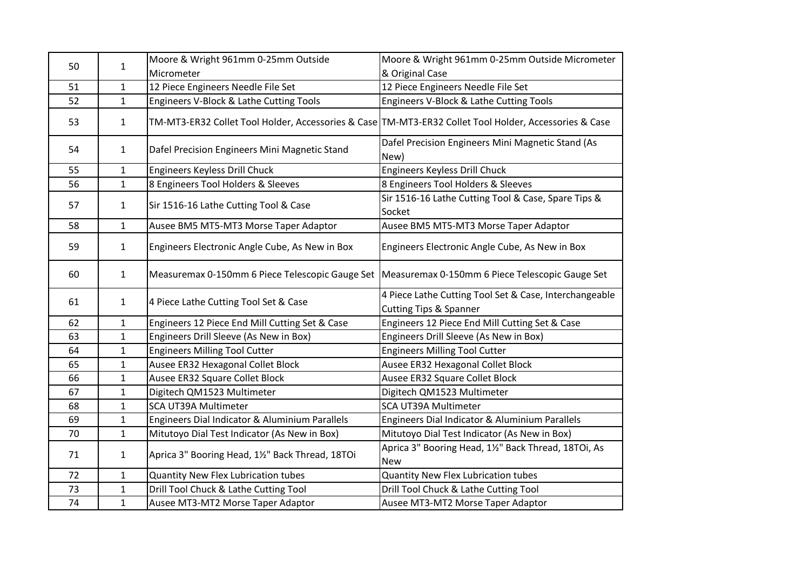|    | $\mathbf{1}$ | Moore & Wright 961mm 0-25mm Outside              | Moore & Wright 961mm 0-25mm Outside Micrometer                                                        |
|----|--------------|--------------------------------------------------|-------------------------------------------------------------------------------------------------------|
| 50 |              | Micrometer                                       | & Original Case                                                                                       |
| 51 | $\mathbf{1}$ | 12 Piece Engineers Needle File Set               | 12 Piece Engineers Needle File Set                                                                    |
| 52 | $\mathbf{1}$ | Engineers V-Block & Lathe Cutting Tools          | Engineers V-Block & Lathe Cutting Tools                                                               |
| 53 | $\mathbf{1}$ |                                                  | TM-MT3-ER32 Collet Tool Holder, Accessories & Case TM-MT3-ER32 Collet Tool Holder, Accessories & Case |
| 54 | $\mathbf{1}$ | Dafel Precision Engineers Mini Magnetic Stand    | Dafel Precision Engineers Mini Magnetic Stand (As<br>New)                                             |
| 55 | $\mathbf{1}$ | Engineers Keyless Drill Chuck                    | Engineers Keyless Drill Chuck                                                                         |
| 56 | $\mathbf{1}$ | 8 Engineers Tool Holders & Sleeves               | 8 Engineers Tool Holders & Sleeves                                                                    |
| 57 | $\mathbf{1}$ | Sir 1516-16 Lathe Cutting Tool & Case            | Sir 1516-16 Lathe Cutting Tool & Case, Spare Tips &<br>Socket                                         |
| 58 | $\mathbf{1}$ | Ausee BM5 MT5-MT3 Morse Taper Adaptor            | Ausee BM5 MT5-MT3 Morse Taper Adaptor                                                                 |
| 59 | $\mathbf{1}$ | Engineers Electronic Angle Cube, As New in Box   | Engineers Electronic Angle Cube, As New in Box                                                        |
| 60 | $\mathbf{1}$ |                                                  | Measuremax 0-150mm 6 Piece Telescopic Gauge Set   Measuremax 0-150mm 6 Piece Telescopic Gauge Set     |
| 61 | $\mathbf{1}$ | 4 Piece Lathe Cutting Tool Set & Case            | 4 Piece Lathe Cutting Tool Set & Case, Interchangeable<br><b>Cutting Tips &amp; Spanner</b>           |
| 62 | $\mathbf{1}$ | Engineers 12 Piece End Mill Cutting Set & Case   | Engineers 12 Piece End Mill Cutting Set & Case                                                        |
| 63 | $\mathbf{1}$ | Engineers Drill Sleeve (As New in Box)           | Engineers Drill Sleeve (As New in Box)                                                                |
| 64 | $\mathbf{1}$ | <b>Engineers Milling Tool Cutter</b>             | <b>Engineers Milling Tool Cutter</b>                                                                  |
| 65 | $\mathbf{1}$ | Ausee ER32 Hexagonal Collet Block                | Ausee ER32 Hexagonal Collet Block                                                                     |
| 66 | $\mathbf{1}$ | Ausee ER32 Square Collet Block                   | Ausee ER32 Square Collet Block                                                                        |
| 67 | $\mathbf{1}$ | Digitech QM1523 Multimeter                       | Digitech QM1523 Multimeter                                                                            |
| 68 | $\mathbf{1}$ | SCA UT39A Multimeter                             | <b>SCA UT39A Multimeter</b>                                                                           |
| 69 | $\mathbf{1}$ | Engineers Dial Indicator & Aluminium Parallels   | Engineers Dial Indicator & Aluminium Parallels                                                        |
| 70 | $\mathbf{1}$ | Mitutoyo Dial Test Indicator (As New in Box)     | Mitutoyo Dial Test Indicator (As New in Box)                                                          |
| 71 | $\mathbf{1}$ | Aprica 3" Booring Head, 11/2" Back Thread, 18TOi | Aprica 3" Booring Head, 11/2" Back Thread, 18TOi, As<br><b>New</b>                                    |
| 72 | $\mathbf{1}$ | Quantity New Flex Lubrication tubes              | Quantity New Flex Lubrication tubes                                                                   |
| 73 | $\mathbf{1}$ | Drill Tool Chuck & Lathe Cutting Tool            | Drill Tool Chuck & Lathe Cutting Tool                                                                 |
| 74 | $\mathbf{1}$ | Ausee MT3-MT2 Morse Taper Adaptor                | Ausee MT3-MT2 Morse Taper Adaptor                                                                     |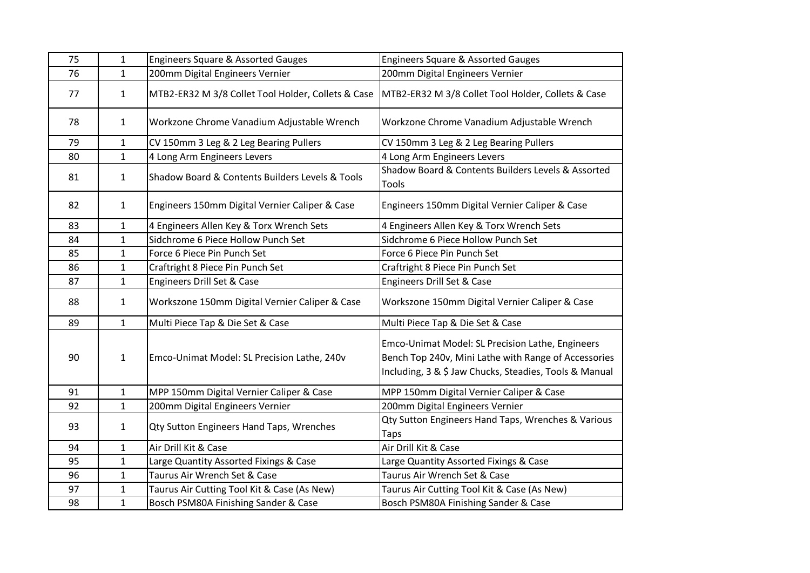| 75 | $\mathbf{1}$ | <b>Engineers Square &amp; Assorted Gauges</b>      | Engineers Square & Assorted Gauges                                                                                                                                 |
|----|--------------|----------------------------------------------------|--------------------------------------------------------------------------------------------------------------------------------------------------------------------|
| 76 | $\mathbf{1}$ | 200mm Digital Engineers Vernier                    | 200mm Digital Engineers Vernier                                                                                                                                    |
| 77 | $\mathbf{1}$ | MTB2-ER32 M 3/8 Collet Tool Holder, Collets & Case | MTB2-ER32 M 3/8 Collet Tool Holder, Collets & Case                                                                                                                 |
| 78 | $\mathbf{1}$ | Workzone Chrome Vanadium Adjustable Wrench         | Workzone Chrome Vanadium Adjustable Wrench                                                                                                                         |
| 79 | $\mathbf{1}$ | CV 150mm 3 Leg & 2 Leg Bearing Pullers             | CV 150mm 3 Leg & 2 Leg Bearing Pullers                                                                                                                             |
| 80 | $\mathbf{1}$ | 4 Long Arm Engineers Levers                        | 4 Long Arm Engineers Levers                                                                                                                                        |
| 81 | $\mathbf{1}$ | Shadow Board & Contents Builders Levels & Tools    | Shadow Board & Contents Builders Levels & Assorted<br><b>Tools</b>                                                                                                 |
| 82 | $\mathbf{1}$ | Engineers 150mm Digital Vernier Caliper & Case     | Engineers 150mm Digital Vernier Caliper & Case                                                                                                                     |
| 83 | $\mathbf{1}$ | 4 Engineers Allen Key & Torx Wrench Sets           | 4 Engineers Allen Key & Torx Wrench Sets                                                                                                                           |
| 84 | $\mathbf{1}$ | Sidchrome 6 Piece Hollow Punch Set                 | Sidchrome 6 Piece Hollow Punch Set                                                                                                                                 |
| 85 | $\mathbf{1}$ | Force 6 Piece Pin Punch Set                        | Force 6 Piece Pin Punch Set                                                                                                                                        |
| 86 | $\mathbf 1$  | Craftright 8 Piece Pin Punch Set                   | Craftright 8 Piece Pin Punch Set                                                                                                                                   |
| 87 | $\mathbf{1}$ | Engineers Drill Set & Case                         | Engineers Drill Set & Case                                                                                                                                         |
| 88 | $\mathbf{1}$ | Workszone 150mm Digital Vernier Caliper & Case     | Workszone 150mm Digital Vernier Caliper & Case                                                                                                                     |
| 89 | $\mathbf{1}$ | Multi Piece Tap & Die Set & Case                   | Multi Piece Tap & Die Set & Case                                                                                                                                   |
| 90 | $\mathbf{1}$ | Emco-Unimat Model: SL Precision Lathe, 240v        | Emco-Unimat Model: SL Precision Lathe, Engineers<br>Bench Top 240v, Mini Lathe with Range of Accessories<br>Including, 3 & \$ Jaw Chucks, Steadies, Tools & Manual |
| 91 | $\mathbf{1}$ | MPP 150mm Digital Vernier Caliper & Case           | MPP 150mm Digital Vernier Caliper & Case                                                                                                                           |
| 92 | $\mathbf{1}$ | 200mm Digital Engineers Vernier                    | 200mm Digital Engineers Vernier                                                                                                                                    |
| 93 | $\mathbf{1}$ | Qty Sutton Engineers Hand Taps, Wrenches           | Qty Sutton Engineers Hand Taps, Wrenches & Various<br><b>Taps</b>                                                                                                  |
| 94 | $\mathbf{1}$ | Air Drill Kit & Case                               | Air Drill Kit & Case                                                                                                                                               |
| 95 | $\mathbf{1}$ | Large Quantity Assorted Fixings & Case             | Large Quantity Assorted Fixings & Case                                                                                                                             |
| 96 | $\mathbf{1}$ | Taurus Air Wrench Set & Case                       | Taurus Air Wrench Set & Case                                                                                                                                       |
| 97 | $\mathbf{1}$ | Taurus Air Cutting Tool Kit & Case (As New)        | Taurus Air Cutting Tool Kit & Case (As New)                                                                                                                        |
| 98 | $\mathbf{1}$ | Bosch PSM80A Finishing Sander & Case               | Bosch PSM80A Finishing Sander & Case                                                                                                                               |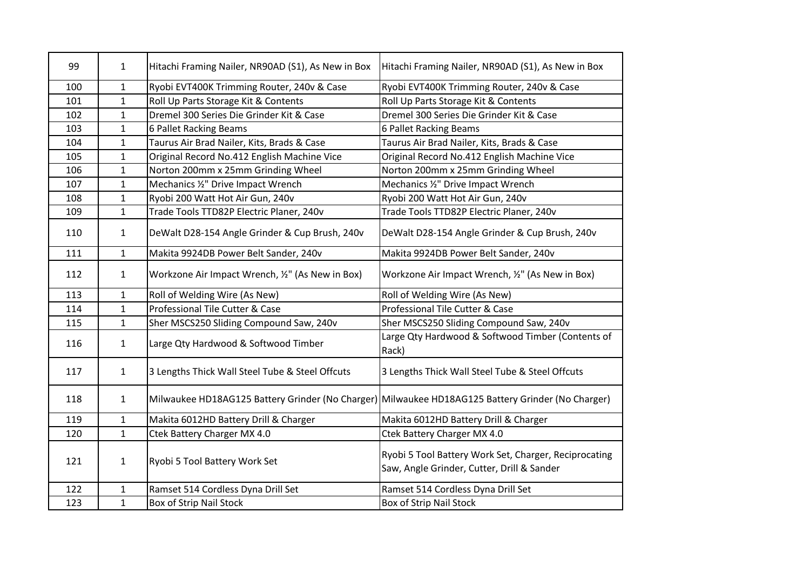| 99  | $\mathbf{1}$ | Hitachi Framing Nailer, NR90AD (S1), As New in Box | Hitachi Framing Nailer, NR90AD (S1), As New in Box                                                  |
|-----|--------------|----------------------------------------------------|-----------------------------------------------------------------------------------------------------|
| 100 | $\mathbf{1}$ | Ryobi EVT400K Trimming Router, 240v & Case         | Ryobi EVT400K Trimming Router, 240v & Case                                                          |
| 101 | $\mathbf{1}$ | Roll Up Parts Storage Kit & Contents               | Roll Up Parts Storage Kit & Contents                                                                |
| 102 | $\mathbf{1}$ | Dremel 300 Series Die Grinder Kit & Case           | Dremel 300 Series Die Grinder Kit & Case                                                            |
| 103 | $\mathbf{1}$ | 6 Pallet Racking Beams                             | 6 Pallet Racking Beams                                                                              |
| 104 | $\mathbf{1}$ | Taurus Air Brad Nailer, Kits, Brads & Case         | Taurus Air Brad Nailer, Kits, Brads & Case                                                          |
| 105 | $\mathbf{1}$ | Original Record No.412 English Machine Vice        | Original Record No.412 English Machine Vice                                                         |
| 106 | $\mathbf{1}$ | Norton 200mm x 25mm Grinding Wheel                 | Norton 200mm x 25mm Grinding Wheel                                                                  |
| 107 | $\mathbf{1}$ | Mechanics 1/2" Drive Impact Wrench                 | Mechanics 1/2" Drive Impact Wrench                                                                  |
| 108 | $\mathbf{1}$ | Ryobi 200 Watt Hot Air Gun, 240v                   | Ryobi 200 Watt Hot Air Gun, 240v                                                                    |
| 109 | $\mathbf{1}$ | Trade Tools TTD82P Electric Planer, 240v           | Trade Tools TTD82P Electric Planer, 240v                                                            |
| 110 | $\mathbf{1}$ | DeWalt D28-154 Angle Grinder & Cup Brush, 240v     | DeWalt D28-154 Angle Grinder & Cup Brush, 240v                                                      |
| 111 | $\mathbf{1}$ | Makita 9924DB Power Belt Sander, 240v              | Makita 9924DB Power Belt Sander, 240v                                                               |
| 112 | $\mathbf{1}$ | Workzone Air Impact Wrench, 1/2" (As New in Box)   | Workzone Air Impact Wrench, 1/2" (As New in Box)                                                    |
| 113 | $\mathbf{1}$ | Roll of Welding Wire (As New)                      | Roll of Welding Wire (As New)                                                                       |
| 114 | $\mathbf{1}$ | Professional Tile Cutter & Case                    | Professional Tile Cutter & Case                                                                     |
| 115 | $\mathbf{1}$ | Sher MSCS250 Sliding Compound Saw, 240v            | Sher MSCS250 Sliding Compound Saw, 240v                                                             |
| 116 | $\mathbf{1}$ | Large Qty Hardwood & Softwood Timber               | Large Qty Hardwood & Softwood Timber (Contents of<br>Rack)                                          |
| 117 | $\mathbf{1}$ | 3 Lengths Thick Wall Steel Tube & Steel Offcuts    | 3 Lengths Thick Wall Steel Tube & Steel Offcuts                                                     |
| 118 | $\mathbf{1}$ |                                                    | Milwaukee HD18AG125 Battery Grinder (No Charger) Milwaukee HD18AG125 Battery Grinder (No Charger)   |
| 119 | $\mathbf{1}$ | Makita 6012HD Battery Drill & Charger              | Makita 6012HD Battery Drill & Charger                                                               |
| 120 | $\mathbf{1}$ | Ctek Battery Charger MX 4.0                        | Ctek Battery Charger MX 4.0                                                                         |
| 121 | $\mathbf{1}$ | Ryobi 5 Tool Battery Work Set                      | Ryobi 5 Tool Battery Work Set, Charger, Reciprocating<br>Saw, Angle Grinder, Cutter, Drill & Sander |
| 122 | $\mathbf{1}$ | Ramset 514 Cordless Dyna Drill Set                 | Ramset 514 Cordless Dyna Drill Set                                                                  |
| 123 | $\mathbf{1}$ | Box of Strip Nail Stock                            | <b>Box of Strip Nail Stock</b>                                                                      |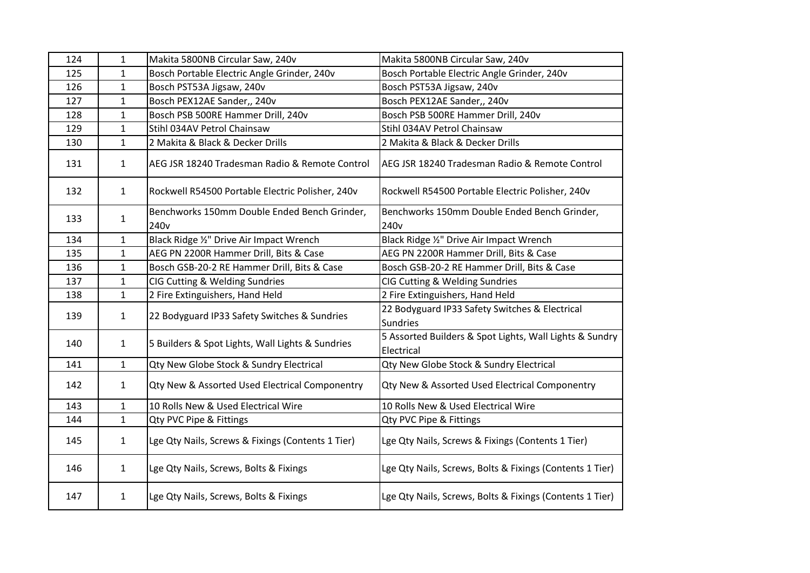| 124 | $\mathbf{1}$ | Makita 5800NB Circular Saw, 240v                  | Makita 5800NB Circular Saw, 240v                                      |
|-----|--------------|---------------------------------------------------|-----------------------------------------------------------------------|
| 125 | $\mathbf{1}$ | Bosch Portable Electric Angle Grinder, 240v       | Bosch Portable Electric Angle Grinder, 240v                           |
| 126 | $\mathbf{1}$ | Bosch PST53A Jigsaw, 240v                         | Bosch PST53A Jigsaw, 240v                                             |
| 127 | $\mathbf{1}$ | Bosch PEX12AE Sander,, 240v                       | Bosch PEX12AE Sander,, 240v                                           |
| 128 | $\mathbf{1}$ | Bosch PSB 500RE Hammer Drill, 240v                | Bosch PSB 500RE Hammer Drill, 240v                                    |
| 129 | $\mathbf{1}$ | Stihl 034AV Petrol Chainsaw                       | Stihl 034AV Petrol Chainsaw                                           |
| 130 | $\mathbf{1}$ | 2 Makita & Black & Decker Drills                  | 2 Makita & Black & Decker Drills                                      |
| 131 | $\mathbf{1}$ | AEG JSR 18240 Tradesman Radio & Remote Control    | AEG JSR 18240 Tradesman Radio & Remote Control                        |
| 132 | $\mathbf{1}$ | Rockwell R54500 Portable Electric Polisher, 240v  | Rockwell R54500 Portable Electric Polisher, 240v                      |
| 133 | $\mathbf 1$  | Benchworks 150mm Double Ended Bench Grinder,      | Benchworks 150mm Double Ended Bench Grinder,                          |
|     |              | 240 <sub>v</sub>                                  | 240 <sub>v</sub>                                                      |
| 134 | $\mathbf{1}$ | Black Ridge 1/2" Drive Air Impact Wrench          | Black Ridge 1/2" Drive Air Impact Wrench                              |
| 135 | $\mathbf{1}$ | AEG PN 2200R Hammer Drill, Bits & Case            | AEG PN 2200R Hammer Drill, Bits & Case                                |
| 136 | $\mathbf{1}$ | Bosch GSB-20-2 RE Hammer Drill, Bits & Case       | Bosch GSB-20-2 RE Hammer Drill, Bits & Case                           |
| 137 | $\mathbf{1}$ | CIG Cutting & Welding Sundries                    | CIG Cutting & Welding Sundries                                        |
| 138 | $\mathbf{1}$ | 2 Fire Extinguishers, Hand Held                   | 2 Fire Extinguishers, Hand Held                                       |
| 139 | $\mathbf{1}$ | 22 Bodyguard IP33 Safety Switches & Sundries      | 22 Bodyguard IP33 Safety Switches & Electrical<br><b>Sundries</b>     |
| 140 | $\mathbf{1}$ | 5 Builders & Spot Lights, Wall Lights & Sundries  | 5 Assorted Builders & Spot Lights, Wall Lights & Sundry<br>Electrical |
| 141 | $\mathbf{1}$ | Qty New Globe Stock & Sundry Electrical           | Qty New Globe Stock & Sundry Electrical                               |
| 142 | $\mathbf{1}$ | Qty New & Assorted Used Electrical Componentry    | Qty New & Assorted Used Electrical Componentry                        |
| 143 | $\mathbf{1}$ | 10 Rolls New & Used Electrical Wire               | 10 Rolls New & Used Electrical Wire                                   |
| 144 | $\mathbf{1}$ | Qty PVC Pipe & Fittings                           | Qty PVC Pipe & Fittings                                               |
| 145 | $\mathbf{1}$ | Lge Qty Nails, Screws & Fixings (Contents 1 Tier) | Lge Qty Nails, Screws & Fixings (Contents 1 Tier)                     |
| 146 | $\mathbf{1}$ | Lge Qty Nails, Screws, Bolts & Fixings            | Lge Qty Nails, Screws, Bolts & Fixings (Contents 1 Tier)              |
| 147 | $\mathbf{1}$ | Lge Qty Nails, Screws, Bolts & Fixings            | Lge Qty Nails, Screws, Bolts & Fixings (Contents 1 Tier)              |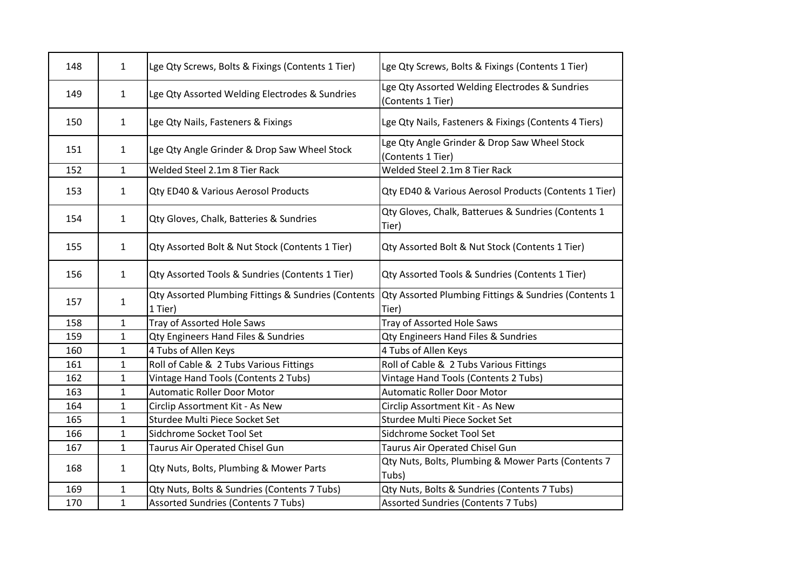| 148 | $\mathbf{1}$ | Lge Qty Screws, Bolts & Fixings (Contents 1 Tier)              | Lge Qty Screws, Bolts & Fixings (Contents 1 Tier)                   |
|-----|--------------|----------------------------------------------------------------|---------------------------------------------------------------------|
| 149 | $\mathbf{1}$ | Lge Qty Assorted Welding Electrodes & Sundries                 | Lge Qty Assorted Welding Electrodes & Sundries<br>(Contents 1 Tier) |
| 150 | $\mathbf{1}$ | Lge Qty Nails, Fasteners & Fixings                             | Lge Qty Nails, Fasteners & Fixings (Contents 4 Tiers)               |
| 151 | $\mathbf{1}$ | Lge Qty Angle Grinder & Drop Saw Wheel Stock                   | Lge Qty Angle Grinder & Drop Saw Wheel Stock<br>(Contents 1 Tier)   |
| 152 | $\mathbf{1}$ | Welded Steel 2.1m 8 Tier Rack                                  | Welded Steel 2.1m 8 Tier Rack                                       |
| 153 | $\mathbf{1}$ | Qty ED40 & Various Aerosol Products                            | Qty ED40 & Various Aerosol Products (Contents 1 Tier)               |
| 154 | $\mathbf{1}$ | Qty Gloves, Chalk, Batteries & Sundries                        | Qty Gloves, Chalk, Batterues & Sundries (Contents 1<br>Tier)        |
| 155 | $\mathbf{1}$ | Qty Assorted Bolt & Nut Stock (Contents 1 Tier)                | Qty Assorted Bolt & Nut Stock (Contents 1 Tier)                     |
| 156 | $\mathbf{1}$ | Qty Assorted Tools & Sundries (Contents 1 Tier)                | Qty Assorted Tools & Sundries (Contents 1 Tier)                     |
| 157 | $\mathbf{1}$ | Qty Assorted Plumbing Fittings & Sundries (Contents<br>1 Tier) | Qty Assorted Plumbing Fittings & Sundries (Contents 1<br>Tier)      |
| 158 | $\mathbf{1}$ | Tray of Assorted Hole Saws                                     | Tray of Assorted Hole Saws                                          |
| 159 | $\mathbf{1}$ | Qty Engineers Hand Files & Sundries                            | Qty Engineers Hand Files & Sundries                                 |
| 160 | $\mathbf{1}$ | 4 Tubs of Allen Keys                                           | 4 Tubs of Allen Keys                                                |
| 161 | $\mathbf{1}$ | Roll of Cable & 2 Tubs Various Fittings                        | Roll of Cable & 2 Tubs Various Fittings                             |
| 162 | $\mathbf{1}$ | Vintage Hand Tools (Contents 2 Tubs)                           | Vintage Hand Tools (Contents 2 Tubs)                                |
| 163 | $\mathbf 1$  | <b>Automatic Roller Door Motor</b>                             | <b>Automatic Roller Door Motor</b>                                  |
| 164 | $\mathbf{1}$ | Circlip Assortment Kit - As New                                | Circlip Assortment Kit - As New                                     |
| 165 | $\mathbf{1}$ | Sturdee Multi Piece Socket Set                                 | Sturdee Multi Piece Socket Set                                      |
| 166 | 1            | Sidchrome Socket Tool Set                                      | Sidchrome Socket Tool Set                                           |
| 167 | $\mathbf{1}$ | Taurus Air Operated Chisel Gun                                 | Taurus Air Operated Chisel Gun                                      |
| 168 | $\mathbf{1}$ | Qty Nuts, Bolts, Plumbing & Mower Parts                        | Qty Nuts, Bolts, Plumbing & Mower Parts (Contents 7<br>Tubs)        |
| 169 | $\mathbf{1}$ | Qty Nuts, Bolts & Sundries (Contents 7 Tubs)                   | Qty Nuts, Bolts & Sundries (Contents 7 Tubs)                        |
| 170 | $\mathbf{1}$ | Assorted Sundries (Contents 7 Tubs)                            | Assorted Sundries (Contents 7 Tubs)                                 |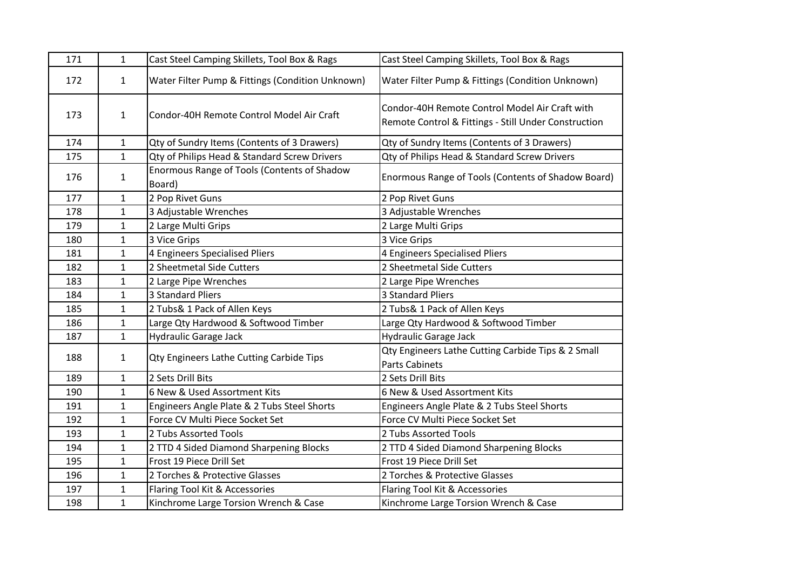| 171 | $\mathbf{1}$ | Cast Steel Camping Skillets, Tool Box & Rags          | Cast Steel Camping Skillets, Tool Box & Rags                                                           |
|-----|--------------|-------------------------------------------------------|--------------------------------------------------------------------------------------------------------|
| 172 | $\mathbf{1}$ | Water Filter Pump & Fittings (Condition Unknown)      | Water Filter Pump & Fittings (Condition Unknown)                                                       |
| 173 | $\mathbf{1}$ | Condor-40H Remote Control Model Air Craft             | Condor-40H Remote Control Model Air Craft with<br>Remote Control & Fittings - Still Under Construction |
| 174 | $\mathbf{1}$ | Qty of Sundry Items (Contents of 3 Drawers)           | Qty of Sundry Items (Contents of 3 Drawers)                                                            |
| 175 | $\mathbf{1}$ | Qty of Philips Head & Standard Screw Drivers          | Qty of Philips Head & Standard Screw Drivers                                                           |
| 176 | $\mathbf{1}$ | Enormous Range of Tools (Contents of Shadow<br>Board) | Enormous Range of Tools (Contents of Shadow Board)                                                     |
| 177 | $\mathbf{1}$ | 2 Pop Rivet Guns                                      | 2 Pop Rivet Guns                                                                                       |
| 178 | $\mathbf{1}$ | 3 Adjustable Wrenches                                 | 3 Adjustable Wrenches                                                                                  |
| 179 | $\mathbf{1}$ | 2 Large Multi Grips                                   | 2 Large Multi Grips                                                                                    |
| 180 | $\mathbf{1}$ | 3 Vice Grips                                          | 3 Vice Grips                                                                                           |
| 181 | $\mathbf{1}$ | 4 Engineers Specialised Pliers                        | 4 Engineers Specialised Pliers                                                                         |
| 182 | $\mathbf{1}$ | 2 Sheetmetal Side Cutters                             | 2 Sheetmetal Side Cutters                                                                              |
| 183 | $\mathbf{1}$ | 2 Large Pipe Wrenches                                 | 2 Large Pipe Wrenches                                                                                  |
| 184 | $\mathbf{1}$ | 3 Standard Pliers                                     | <b>3 Standard Pliers</b>                                                                               |
| 185 | $\mathbf{1}$ | 2 Tubs& 1 Pack of Allen Keys                          | 2 Tubs& 1 Pack of Allen Keys                                                                           |
| 186 | $\mathbf{1}$ | Large Qty Hardwood & Softwood Timber                  | Large Qty Hardwood & Softwood Timber                                                                   |
| 187 | $\mathbf{1}$ | <b>Hydraulic Garage Jack</b>                          | <b>Hydraulic Garage Jack</b>                                                                           |
| 188 | $\mathbf{1}$ | <b>Qty Engineers Lathe Cutting Carbide Tips</b>       | Qty Engineers Lathe Cutting Carbide Tips & 2 Small<br><b>Parts Cabinets</b>                            |
| 189 | $\mathbf{1}$ | 2 Sets Drill Bits                                     | 2 Sets Drill Bits                                                                                      |
| 190 | $\mathbf{1}$ | 6 New & Used Assortment Kits                          | 6 New & Used Assortment Kits                                                                           |
| 191 | $\mathbf{1}$ | Engineers Angle Plate & 2 Tubs Steel Shorts           | Engineers Angle Plate & 2 Tubs Steel Shorts                                                            |
| 192 | $\mathbf{1}$ | Force CV Multi Piece Socket Set                       | Force CV Multi Piece Socket Set                                                                        |
| 193 | $\mathbf{1}$ | 2 Tubs Assorted Tools                                 | 2 Tubs Assorted Tools                                                                                  |
| 194 | $\mathbf{1}$ | 2 TTD 4 Sided Diamond Sharpening Blocks               | 2 TTD 4 Sided Diamond Sharpening Blocks                                                                |
| 195 | $\mathbf{1}$ | Frost 19 Piece Drill Set                              | Frost 19 Piece Drill Set                                                                               |
| 196 | $\mathbf{1}$ | 2 Torches & Protective Glasses                        | 2 Torches & Protective Glasses                                                                         |
| 197 | $\mathbf{1}$ | Flaring Tool Kit & Accessories                        | Flaring Tool Kit & Accessories                                                                         |
| 198 | $\mathbf{1}$ | Kinchrome Large Torsion Wrench & Case                 | Kinchrome Large Torsion Wrench & Case                                                                  |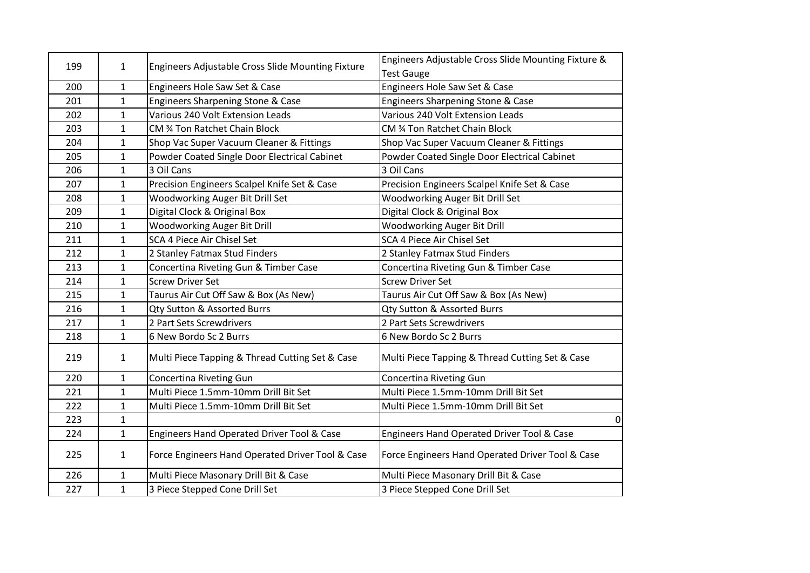| 199 | $\mathbf{1}$ | Engineers Adjustable Cross Slide Mounting Fixture | Engineers Adjustable Cross Slide Mounting Fixture & |
|-----|--------------|---------------------------------------------------|-----------------------------------------------------|
|     |              |                                                   | <b>Test Gauge</b>                                   |
| 200 | $\mathbf{1}$ | Engineers Hole Saw Set & Case                     | Engineers Hole Saw Set & Case                       |
| 201 | $\mathbf{1}$ | Engineers Sharpening Stone & Case                 | Engineers Sharpening Stone & Case                   |
| 202 | $\mathbf{1}$ | Various 240 Volt Extension Leads                  | Various 240 Volt Extension Leads                    |
| 203 | $\mathbf{1}$ | CM % Ton Ratchet Chain Block                      | CM % Ton Ratchet Chain Block                        |
| 204 | $\mathbf{1}$ | Shop Vac Super Vacuum Cleaner & Fittings          | Shop Vac Super Vacuum Cleaner & Fittings            |
| 205 | $\mathbf{1}$ | Powder Coated Single Door Electrical Cabinet      | Powder Coated Single Door Electrical Cabinet        |
| 206 | $\mathbf{1}$ | 3 Oil Cans                                        | 3 Oil Cans                                          |
| 207 | $\mathbf{1}$ | Precision Engineers Scalpel Knife Set & Case      | Precision Engineers Scalpel Knife Set & Case        |
| 208 | $\mathbf{1}$ | <b>Woodworking Auger Bit Drill Set</b>            | Woodworking Auger Bit Drill Set                     |
| 209 | $\mathbf{1}$ | Digital Clock & Original Box                      | Digital Clock & Original Box                        |
| 210 | $\mathbf{1}$ | <b>Woodworking Auger Bit Drill</b>                | Woodworking Auger Bit Drill                         |
| 211 | $\mathbf{1}$ | SCA 4 Piece Air Chisel Set                        | SCA 4 Piece Air Chisel Set                          |
| 212 | $\mathbf{1}$ | 2 Stanley Fatmax Stud Finders                     | 2 Stanley Fatmax Stud Finders                       |
| 213 | $\mathbf{1}$ | Concertina Riveting Gun & Timber Case             | Concertina Riveting Gun & Timber Case               |
| 214 | $\mathbf{1}$ | <b>Screw Driver Set</b>                           | <b>Screw Driver Set</b>                             |
| 215 | $\mathbf{1}$ | Taurus Air Cut Off Saw & Box (As New)             | Taurus Air Cut Off Saw & Box (As New)               |
| 216 | $\mathbf{1}$ | Qty Sutton & Assorted Burrs                       | Qty Sutton & Assorted Burrs                         |
| 217 | $\mathbf{1}$ | 2 Part Sets Screwdrivers                          | 2 Part Sets Screwdrivers                            |
| 218 | $\mathbf{1}$ | 6 New Bordo Sc 2 Burrs                            | 6 New Bordo Sc 2 Burrs                              |
| 219 | $\mathbf{1}$ | Multi Piece Tapping & Thread Cutting Set & Case   | Multi Piece Tapping & Thread Cutting Set & Case     |
| 220 | $\mathbf{1}$ | Concertina Riveting Gun                           | <b>Concertina Riveting Gun</b>                      |
| 221 | $\mathbf{1}$ | Multi Piece 1.5mm-10mm Drill Bit Set              | Multi Piece 1.5mm-10mm Drill Bit Set                |
| 222 | $\mathbf{1}$ | Multi Piece 1.5mm-10mm Drill Bit Set              | Multi Piece 1.5mm-10mm Drill Bit Set                |
| 223 | $\mathbf{1}$ |                                                   | $\mathbf 0$                                         |
| 224 | $\mathbf{1}$ | Engineers Hand Operated Driver Tool & Case        | Engineers Hand Operated Driver Tool & Case          |
| 225 | $\mathbf{1}$ | Force Engineers Hand Operated Driver Tool & Case  | Force Engineers Hand Operated Driver Tool & Case    |
| 226 | $\mathbf{1}$ | Multi Piece Masonary Drill Bit & Case             | Multi Piece Masonary Drill Bit & Case               |
| 227 | $\mathbf{1}$ | 3 Piece Stepped Cone Drill Set                    | 3 Piece Stepped Cone Drill Set                      |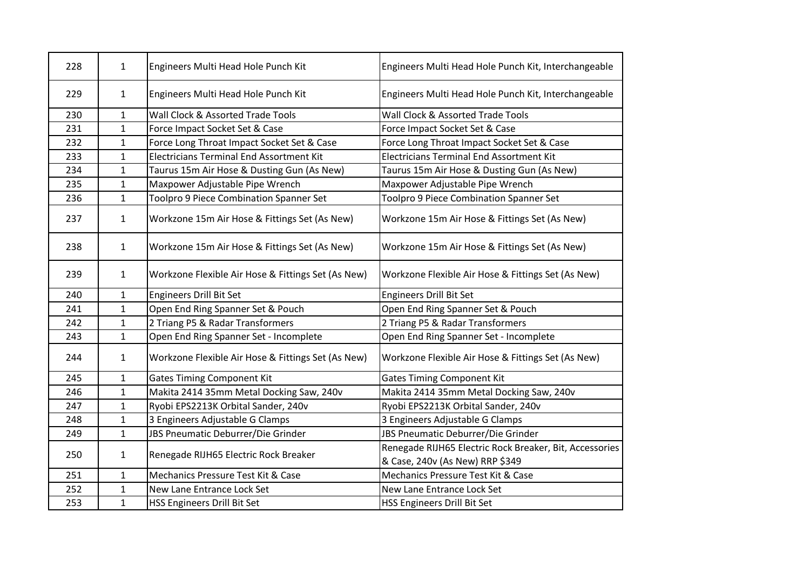| 228 | $\mathbf 1$  | Engineers Multi Head Hole Punch Kit                | Engineers Multi Head Hole Punch Kit, Interchangeable                                       |
|-----|--------------|----------------------------------------------------|--------------------------------------------------------------------------------------------|
| 229 | $\mathbf{1}$ | Engineers Multi Head Hole Punch Kit                | Engineers Multi Head Hole Punch Kit, Interchangeable                                       |
| 230 | 1            | Wall Clock & Assorted Trade Tools                  | Wall Clock & Assorted Trade Tools                                                          |
| 231 | $\mathbf{1}$ | Force Impact Socket Set & Case                     | Force Impact Socket Set & Case                                                             |
| 232 | $\mathbf{1}$ | Force Long Throat Impact Socket Set & Case         | Force Long Throat Impact Socket Set & Case                                                 |
| 233 | $\mathbf{1}$ | <b>Electricians Terminal End Assortment Kit</b>    | <b>Electricians Terminal End Assortment Kit</b>                                            |
| 234 | $\mathbf{1}$ | Taurus 15m Air Hose & Dusting Gun (As New)         | Taurus 15m Air Hose & Dusting Gun (As New)                                                 |
| 235 | $\mathbf{1}$ | Maxpower Adjustable Pipe Wrench                    | Maxpower Adjustable Pipe Wrench                                                            |
| 236 | $\mathbf{1}$ | Toolpro 9 Piece Combination Spanner Set            | Toolpro 9 Piece Combination Spanner Set                                                    |
| 237 | 1            | Workzone 15m Air Hose & Fittings Set (As New)      | Workzone 15m Air Hose & Fittings Set (As New)                                              |
| 238 | $\mathbf{1}$ | Workzone 15m Air Hose & Fittings Set (As New)      | Workzone 15m Air Hose & Fittings Set (As New)                                              |
| 239 | 1            | Workzone Flexible Air Hose & Fittings Set (As New) | Workzone Flexible Air Hose & Fittings Set (As New)                                         |
| 240 | 1            | <b>Engineers Drill Bit Set</b>                     | <b>Engineers Drill Bit Set</b>                                                             |
| 241 | $\mathbf{1}$ | Open End Ring Spanner Set & Pouch                  | Open End Ring Spanner Set & Pouch                                                          |
| 242 | $\mathbf{1}$ | 2 Triang P5 & Radar Transformers                   | 2 Triang P5 & Radar Transformers                                                           |
| 243 | $\mathbf{1}$ | Open End Ring Spanner Set - Incomplete             | Open End Ring Spanner Set - Incomplete                                                     |
| 244 | 1            | Workzone Flexible Air Hose & Fittings Set (As New) | Workzone Flexible Air Hose & Fittings Set (As New)                                         |
| 245 | 1            | <b>Gates Timing Component Kit</b>                  | <b>Gates Timing Component Kit</b>                                                          |
| 246 | $\mathbf{1}$ | Makita 2414 35mm Metal Docking Saw, 240v           | Makita 2414 35mm Metal Docking Saw, 240v                                                   |
| 247 | $\mathbf{1}$ | Ryobi EPS2213K Orbital Sander, 240v                | Ryobi EPS2213K Orbital Sander, 240v                                                        |
| 248 | $\mathbf{1}$ | 3 Engineers Adjustable G Clamps                    | 3 Engineers Adjustable G Clamps                                                            |
| 249 | $\mathbf{1}$ | JBS Pneumatic Deburrer/Die Grinder                 | JBS Pneumatic Deburrer/Die Grinder                                                         |
| 250 | $\mathbf{1}$ | Renegade RIJH65 Electric Rock Breaker              | Renegade RIJH65 Electric Rock Breaker, Bit, Accessories<br>& Case, 240v (As New) RRP \$349 |
| 251 | 1            | Mechanics Pressure Test Kit & Case                 | Mechanics Pressure Test Kit & Case                                                         |
| 252 | $\mathbf{1}$ | New Lane Entrance Lock Set                         | New Lane Entrance Lock Set                                                                 |
| 253 | $\mathbf{1}$ | HSS Engineers Drill Bit Set                        | HSS Engineers Drill Bit Set                                                                |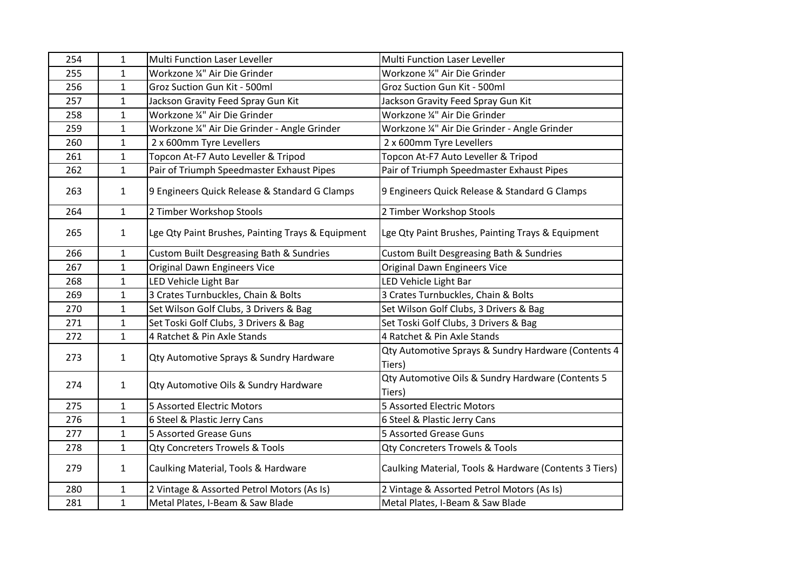| 254 | $\mathbf{1}$ | <b>Multi Function Laser Leveller</b>              | <b>Multi Function Laser Leveller</b>                          |
|-----|--------------|---------------------------------------------------|---------------------------------------------------------------|
| 255 | $\mathbf{1}$ | Workzone ¼" Air Die Grinder                       | Workzone ¼" Air Die Grinder                                   |
| 256 | $\mathbf{1}$ | Groz Suction Gun Kit - 500ml                      | Groz Suction Gun Kit - 500ml                                  |
| 257 | $\mathbf{1}$ | Jackson Gravity Feed Spray Gun Kit                | Jackson Gravity Feed Spray Gun Kit                            |
| 258 | $\mathbf{1}$ | Workzone ¼" Air Die Grinder                       | Workzone ¼" Air Die Grinder                                   |
| 259 | $\mathbf{1}$ | Workzone ¼" Air Die Grinder - Angle Grinder       | Workzone ¼" Air Die Grinder - Angle Grinder                   |
| 260 | $\mathbf{1}$ | 2 x 600mm Tyre Levellers                          | 2 x 600mm Tyre Levellers                                      |
| 261 | $\mathbf{1}$ | Topcon At-F7 Auto Leveller & Tripod               | Topcon At-F7 Auto Leveller & Tripod                           |
| 262 | $\mathbf{1}$ | Pair of Triumph Speedmaster Exhaust Pipes         | Pair of Triumph Speedmaster Exhaust Pipes                     |
| 263 | $\mathbf{1}$ | 9 Engineers Quick Release & Standard G Clamps     | 9 Engineers Quick Release & Standard G Clamps                 |
| 264 | $\mathbf{1}$ | 2 Timber Workshop Stools                          | 2 Timber Workshop Stools                                      |
| 265 | $\mathbf 1$  | Lge Qty Paint Brushes, Painting Trays & Equipment | Lge Qty Paint Brushes, Painting Trays & Equipment             |
| 266 | $\mathbf{1}$ | Custom Built Desgreasing Bath & Sundries          | Custom Built Desgreasing Bath & Sundries                      |
| 267 | $\mathbf{1}$ | Original Dawn Engineers Vice                      | <b>Original Dawn Engineers Vice</b>                           |
| 268 | $\mathbf{1}$ | LED Vehicle Light Bar                             | LED Vehicle Light Bar                                         |
| 269 | $\mathbf{1}$ | 3 Crates Turnbuckles, Chain & Bolts               | 3 Crates Turnbuckles, Chain & Bolts                           |
| 270 | $\mathbf{1}$ | Set Wilson Golf Clubs, 3 Drivers & Bag            | Set Wilson Golf Clubs, 3 Drivers & Bag                        |
| 271 | $\mathbf{1}$ | Set Toski Golf Clubs, 3 Drivers & Bag             | Set Toski Golf Clubs, 3 Drivers & Bag                         |
| 272 | $\mathbf{1}$ | 4 Ratchet & Pin Axle Stands                       | 4 Ratchet & Pin Axle Stands                                   |
| 273 | $\mathbf{1}$ | Qty Automotive Sprays & Sundry Hardware           | Qty Automotive Sprays & Sundry Hardware (Contents 4<br>Tiers) |
| 274 | $\mathbf{1}$ | Qty Automotive Oils & Sundry Hardware             | Qty Automotive Oils & Sundry Hardware (Contents 5<br>Tiers)   |
| 275 | $\mathbf{1}$ | 5 Assorted Electric Motors                        | 5 Assorted Electric Motors                                    |
| 276 | $\mathbf{1}$ | 6 Steel & Plastic Jerry Cans                      | 6 Steel & Plastic Jerry Cans                                  |
| 277 | $\mathbf{1}$ | 5 Assorted Grease Guns                            | 5 Assorted Grease Guns                                        |
| 278 | $\mathbf{1}$ | Qty Concreters Trowels & Tools                    | Qty Concreters Trowels & Tools                                |
| 279 | $\mathbf{1}$ | Caulking Material, Tools & Hardware               | Caulking Material, Tools & Hardware (Contents 3 Tiers)        |
| 280 | $\mathbf{1}$ | 2 Vintage & Assorted Petrol Motors (As Is)        | 2 Vintage & Assorted Petrol Motors (As Is)                    |
| 281 | $\mathbf{1}$ | Metal Plates, I-Beam & Saw Blade                  | Metal Plates, I-Beam & Saw Blade                              |
|     |              |                                                   |                                                               |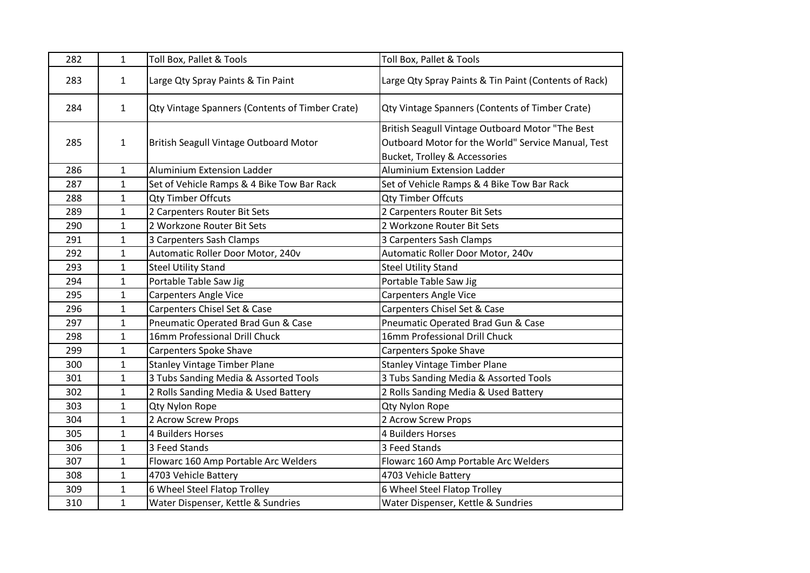| 282 | $\mathbf{1}$ | Toll Box, Pallet & Tools                               | Toll Box, Pallet & Tools                                                                                                                           |
|-----|--------------|--------------------------------------------------------|----------------------------------------------------------------------------------------------------------------------------------------------------|
| 283 | $\mathbf{1}$ | Large Qty Spray Paints & Tin Paint                     | Large Qty Spray Paints & Tin Paint (Contents of Rack)                                                                                              |
| 284 | $\mathbf{1}$ | <b>Qty Vintage Spanners (Contents of Timber Crate)</b> | <b>Qty Vintage Spanners (Contents of Timber Crate)</b>                                                                                             |
| 285 | $\mathbf{1}$ | <b>British Seagull Vintage Outboard Motor</b>          | British Seagull Vintage Outboard Motor "The Best<br>Outboard Motor for the World" Service Manual, Test<br><b>Bucket, Trolley &amp; Accessories</b> |
| 286 | $\mathbf{1}$ | Aluminium Extension Ladder                             | Aluminium Extension Ladder                                                                                                                         |
| 287 | $\mathbf{1}$ | Set of Vehicle Ramps & 4 Bike Tow Bar Rack             | Set of Vehicle Ramps & 4 Bike Tow Bar Rack                                                                                                         |
| 288 | $\mathbf{1}$ | <b>Qty Timber Offcuts</b>                              | <b>Qty Timber Offcuts</b>                                                                                                                          |
| 289 | $\mathbf{1}$ | 2 Carpenters Router Bit Sets                           | 2 Carpenters Router Bit Sets                                                                                                                       |
| 290 | $\mathbf{1}$ | 2 Workzone Router Bit Sets                             | 2 Workzone Router Bit Sets                                                                                                                         |
| 291 | $\mathbf{1}$ | 3 Carpenters Sash Clamps                               | 3 Carpenters Sash Clamps                                                                                                                           |
| 292 | $\mathbf{1}$ | Automatic Roller Door Motor, 240v                      | Automatic Roller Door Motor, 240v                                                                                                                  |
| 293 | $\mathbf{1}$ | <b>Steel Utility Stand</b>                             | <b>Steel Utility Stand</b>                                                                                                                         |
| 294 | $\mathbf{1}$ | Portable Table Saw Jig                                 | Portable Table Saw Jig                                                                                                                             |
| 295 | $\mathbf{1}$ | <b>Carpenters Angle Vice</b>                           | <b>Carpenters Angle Vice</b>                                                                                                                       |
| 296 | $\mathbf{1}$ | Carpenters Chisel Set & Case                           | Carpenters Chisel Set & Case                                                                                                                       |
| 297 | $\mathbf{1}$ | Pneumatic Operated Brad Gun & Case                     | Pneumatic Operated Brad Gun & Case                                                                                                                 |
| 298 | $\mathbf{1}$ | 16mm Professional Drill Chuck                          | 16mm Professional Drill Chuck                                                                                                                      |
| 299 | $\mathbf{1}$ | <b>Carpenters Spoke Shave</b>                          | <b>Carpenters Spoke Shave</b>                                                                                                                      |
| 300 | $\mathbf{1}$ | <b>Stanley Vintage Timber Plane</b>                    | <b>Stanley Vintage Timber Plane</b>                                                                                                                |
| 301 | $\mathbf{1}$ | 3 Tubs Sanding Media & Assorted Tools                  | 3 Tubs Sanding Media & Assorted Tools                                                                                                              |
| 302 | $\mathbf{1}$ | 2 Rolls Sanding Media & Used Battery                   | 2 Rolls Sanding Media & Used Battery                                                                                                               |
| 303 | $\mathbf{1}$ | Qty Nylon Rope                                         | <b>Qty Nylon Rope</b>                                                                                                                              |
| 304 | $\mathbf{1}$ | 2 Acrow Screw Props                                    | 2 Acrow Screw Props                                                                                                                                |
| 305 | $\mathbf{1}$ | 4 Builders Horses                                      | 4 Builders Horses                                                                                                                                  |
| 306 | $\mathbf{1}$ | 3 Feed Stands                                          | 3 Feed Stands                                                                                                                                      |
| 307 | $\mathbf{1}$ | Flowarc 160 Amp Portable Arc Welders                   | Flowarc 160 Amp Portable Arc Welders                                                                                                               |
| 308 | $\mathbf{1}$ | 4703 Vehicle Battery                                   | 4703 Vehicle Battery                                                                                                                               |
| 309 | $\mathbf{1}$ | 6 Wheel Steel Flatop Trolley                           | 6 Wheel Steel Flatop Trolley                                                                                                                       |
| 310 | $\mathbf{1}$ | Water Dispenser, Kettle & Sundries                     | Water Dispenser, Kettle & Sundries                                                                                                                 |